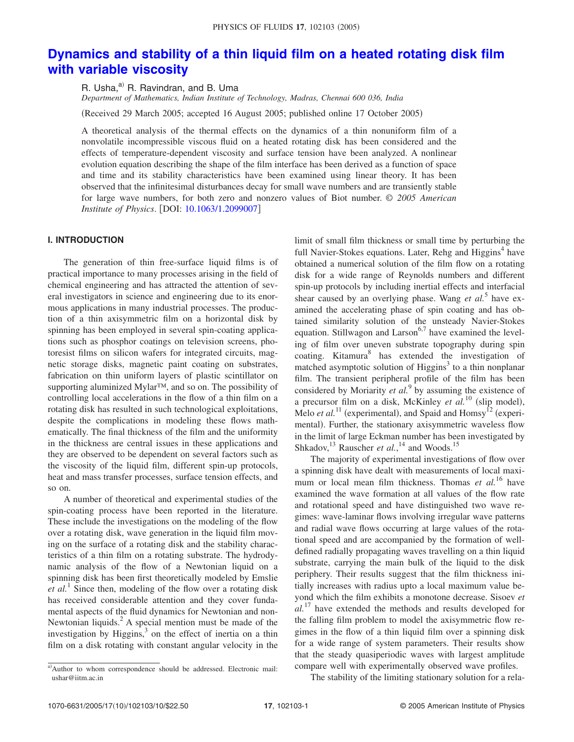# **Dynamics and stability of a thin liquid film on a heated rotating disk film with variable viscosity**

R. Usha,<sup>a)</sup> R. Ravindran, and B. Uma

*Department of Mathematics, Indian Institute of Technology, Madras, Chennai 600 036, India*

Received 29 March 2005; accepted 16 August 2005; published online 17 October 2005-

A theoretical analysis of the thermal effects on the dynamics of a thin nonuniform film of a nonvolatile incompressible viscous fluid on a heated rotating disk has been considered and the effects of temperature-dependent viscosity and surface tension have been analyzed. A nonlinear evolution equation describing the shape of the film interface has been derived as a function of space and time and its stability characteristics have been examined using linear theory. It has been observed that the infinitesimal disturbances decay for small wave numbers and are transiently stable for large wave numbers, for both zero and nonzero values of Biot number. © *2005 American Institute of Physics.* [DOI: 10.1063/1.2099007]

## **I. INTRODUCTION**

The generation of thin free-surface liquid films is of practical importance to many processes arising in the field of chemical engineering and has attracted the attention of several investigators in science and engineering due to its enormous applications in many industrial processes. The production of a thin axisymmetric film on a horizontal disk by spinning has been employed in several spin-coating applications such as phosphor coatings on television screens, photoresist films on silicon wafers for integrated circuits, magnetic storage disks, magnetic paint coating on substrates, fabrication on thin uniform layers of plastic scintillator on supporting aluminized Mylar™, and so on. The possibility of controlling local accelerations in the flow of a thin film on a rotating disk has resulted in such technological exploitations, despite the complications in modeling these flows mathematically. The final thickness of the film and the uniformity in the thickness are central issues in these applications and they are observed to be dependent on several factors such as the viscosity of the liquid film, different spin-up protocols, heat and mass transfer processes, surface tension effects, and so on.

A number of theoretical and experimental studies of the spin-coating process have been reported in the literature. These include the investigations on the modeling of the flow over a rotating disk, wave generation in the liquid film moving on the surface of a rotating disk and the stability characteristics of a thin film on a rotating substrate. The hydrodynamic analysis of the flow of a Newtonian liquid on a spinning disk has been first theoretically modeled by Emslie *et al.*<sup>1</sup> Since then, modeling of the flow over a rotating disk has received considerable attention and they cover fundamental aspects of the fluid dynamics for Newtonian and non-Newtonian liquids. $^{2}$  A special mention must be made of the investigation by Higgins, $3$  on the effect of inertia on a thin film on a disk rotating with constant angular velocity in the limit of small film thickness or small time by perturbing the full Navier-Stokes equations. Later, Rehg and Higgins<sup>4</sup> have obtained a numerical solution of the film flow on a rotating disk for a wide range of Reynolds numbers and different spin-up protocols by including inertial effects and interfacial shear caused by an overlying phase. Wang et al.<sup>5</sup> have examined the accelerating phase of spin coating and has obtained similarity solution of the unsteady Navier-Stokes equation. Stillwagon and Larson<sup>6,7</sup> have examined the leveling of film over uneven substrate topography during spin coating. Kitamura<sup>8</sup> has extended the investigation of matched asymptotic solution of Higgins<sup>3</sup> to a thin nonplanar film. The transient peripheral profile of the film has been considered by Moriarity *et al.*<sup>9</sup> by assuming the existence of a precursor film on a disk, McKinley *et al.*<sup>10</sup> (slip model), Melo *et al.*<sup>11</sup> (experimental), and Spaid and Homsy<sup>12</sup> (experimental). Further, the stationary axisymmetric waveless flow in the limit of large Eckman number has been investigated by Shkadov,<sup>13</sup> Rauscher *et al.*,<sup>14</sup> and Woods.<sup>15</sup>

The majority of experimental investigations of flow over a spinning disk have dealt with measurements of local maximum or local mean film thickness. Thomas *et al.*<sup>16</sup> have examined the wave formation at all values of the flow rate and rotational speed and have distinguished two wave regimes: wave-laminar flows involving irregular wave patterns and radial wave flows occurring at large values of the rotational speed and are accompanied by the formation of welldefined radially propagating waves travelling on a thin liquid substrate, carrying the main bulk of the liquid to the disk periphery. Their results suggest that the film thickness initially increases with radius upto a local maximum value beyond which the film exhibits a monotone decrease. Sisoev *et al.*<sup>17</sup> have extended the methods and results developed for the falling film problem to model the axisymmetric flow regimes in the flow of a thin liquid film over a spinning disk for a wide range of system parameters. Their results show that the steady quasiperiodic waves with largest amplitude compare well with experimentally observed wave profiles.

The stability of the limiting stationary solution for a rela-

a)Author to whom correspondence should be addressed. Electronic mail: ushar@iitm.ac.in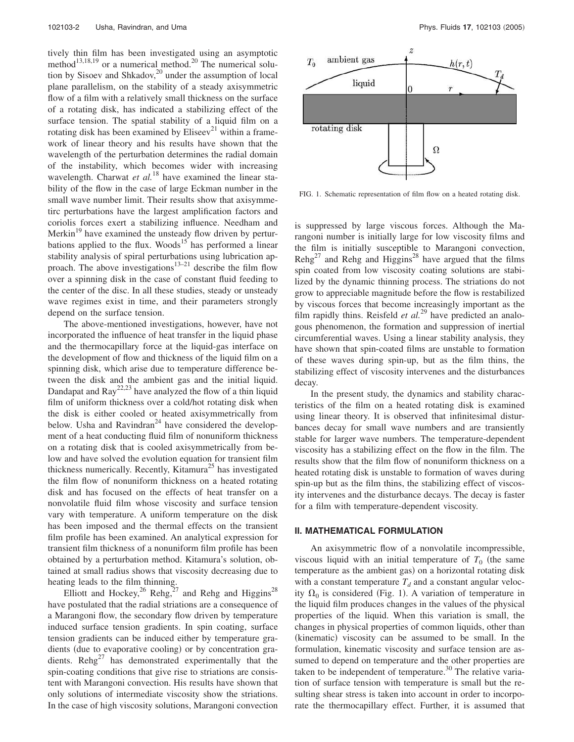tively thin film has been investigated using an asymptotic method<sup>13,18,19</sup> or a numerical method.<sup>20</sup> The numerical solution by Sisoev and Shkadov, $^{20}$  under the assumption of local plane parallelism, on the stability of a steady axisymmetric flow of a film with a relatively small thickness on the surface of a rotating disk, has indicated a stabilizing effect of the surface tension. The spatial stability of a liquid film on a rotating disk has been examined by Eliseev<sup>21</sup> within a framework of linear theory and his results have shown that the wavelength of the perturbation determines the radial domain of the instability, which becomes wider with increasing wavelength. Charwat *et al.*<sup>18</sup> have examined the linear stability of the flow in the case of large Eckman number in the small wave number limit. Their results show that axisymmetirc perturbations have the largest amplification factors and coriolis forces exert a stabilizing influence. Needham and Merkin<sup>19</sup> have examined the unsteady flow driven by perturbations applied to the flux. Woods<sup>15</sup> has performed a linear stability analysis of spiral perturbations using lubrication approach. The above investigations<sup>13–21</sup> describe the film flow over a spinning disk in the case of constant fluid feeding to the center of the disc. In all these studies, steady or unsteady wave regimes exist in time, and their parameters strongly depend on the surface tension.

The above-mentioned investigations, however, have not incorporated the influence of heat transfer in the liquid phase and the thermocapillary force at the liquid-gas interface on the development of flow and thickness of the liquid film on a spinning disk, which arise due to temperature difference between the disk and the ambient gas and the initial liquid. Dandapat and  $\text{Ray}^{22,23}$  have analyzed the flow of a thin liquid film of uniform thickness over a cold/hot rotating disk when the disk is either cooled or heated axisymmetrically from below. Usha and Ravindran<sup>24</sup> have considered the development of a heat conducting fluid film of nonuniform thickness on a rotating disk that is cooled axisymmetrically from below and have solved the evolution equation for transient film thickness numerically. Recently, Kitamura<sup>25</sup> has investigated the film flow of nonuniform thickness on a heated rotating disk and has focused on the effects of heat transfer on a nonvolatile fluid film whose viscosity and surface tension vary with temperature. A uniform temperature on the disk has been imposed and the thermal effects on the transient film profile has been examined. An analytical expression for transient film thickness of a nonuniform film profile has been obtained by a perturbation method. Kitamura's solution, obtained at small radius shows that viscosity decreasing due to heating leads to the film thinning.

Elliott and Hockey,<sup>26</sup> Rehg,<sup>27</sup> and Rehg and Higgins<sup>28</sup> have postulated that the radial striations are a consequence of a Marangoni flow, the secondary flow driven by temperature induced surface tension gradients. In spin coating, surface tension gradients can be induced either by temperature gradients (due to evaporative cooling) or by concentration gradients.  $\text{Reh}g^{27}$  has demonstrated experimentally that the spin-coating conditions that give rise to striations are consistent with Marangoni convection. His results have shown that only solutions of intermediate viscosity show the striations. In the case of high viscosity solutions, Marangoni convection



FIG. 1. Schematic representation of film flow on a heated rotating disk.

is suppressed by large viscous forces. Although the Marangoni number is initially large for low viscosity films and the film is initially susceptible to Marangoni convection,  $\text{Rehg}^{27}$  and Rehg and Higgins<sup>28</sup> have argued that the films spin coated from low viscosity coating solutions are stabilized by the dynamic thinning process. The striations do not grow to appreciable magnitude before the flow is restabilized by viscous forces that become increasingly important as the film rapidly thins. Reisfeld *et al.*<sup>29</sup> have predicted an analogous phenomenon, the formation and suppression of inertial circumferential waves. Using a linear stability analysis, they have shown that spin-coated films are unstable to formation of these waves during spin-up, but as the film thins, the stabilizing effect of viscosity intervenes and the disturbances decay.

In the present study, the dynamics and stability characteristics of the film on a heated rotating disk is examined using linear theory. It is observed that infinitesimal disturbances decay for small wave numbers and are transiently stable for larger wave numbers. The temperature-dependent viscosity has a stabilizing effect on the flow in the film. The results show that the film flow of nonuniform thickness on a heated rotating disk is unstable to formation of waves during spin-up but as the film thins, the stabilizing effect of viscosity intervenes and the disturbance decays. The decay is faster for a film with temperature-dependent viscosity.

#### **II. MATHEMATICAL FORMULATION**

An axisymmetric flow of a nonvolatile incompressible, viscous liquid with an initial temperature of  $T_0$  (the same temperature as the ambient gas) on a horizontal rotating disk with a constant temperature  $T_d$  and a constant angular velocity  $\Omega_0$  is considered (Fig. 1). A variation of temperature in the liquid film produces changes in the values of the physical properties of the liquid. When this variation is small, the changes in physical properties of common liquids, other than (kinematic) viscosity can be assumed to be small. In the formulation, kinematic viscosity and surface tension are assumed to depend on temperature and the other properties are taken to be independent of temperature.<sup>30</sup> The relative variation of surface tension with temperature is small but the resulting shear stress is taken into account in order to incorporate the thermocapillary effect. Further, it is assumed that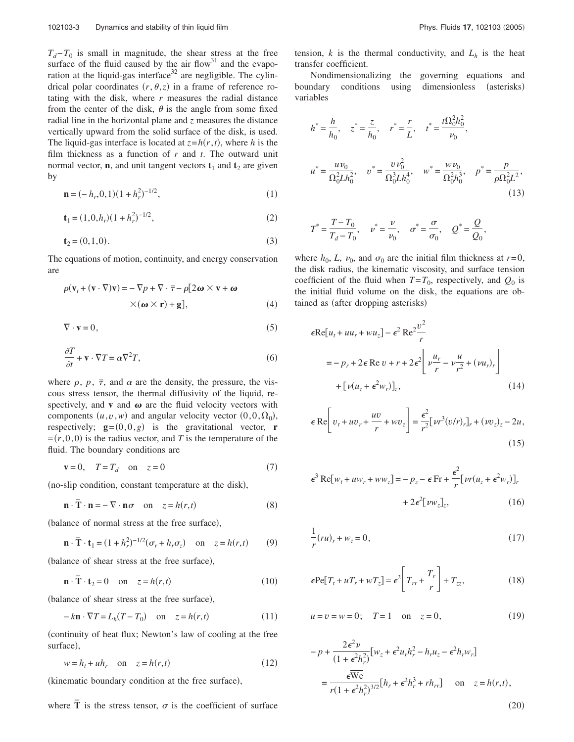$T_d$ −*T*<sup>0</sup> is small in magnitude, the shear stress at the free surface of the fluid caused by the air flow $31$  and the evaporation at the liquid-gas interface<sup>32</sup> are negligible. The cylindrical polar coordinates  $(r, \theta, z)$  in a frame of reference rotating with the disk, where *r* measures the radial distance from the center of the disk,  $\theta$  is the angle from some fixed radial line in the horizontal plane and *z* measures the distance vertically upward from the solid surface of the disk, is used. The liquid-gas interface is located at  $z = h(r, t)$ , where *h* is the film thickness as a function of *r* and *t*. The outward unit normal vector, **n**, and unit tangent vectors  $t_1$  and  $t_2$  are given by

$$
\mathbf{n} = (-h_r, 0, 1)(1 + h_r^2)^{-1/2},\tag{1}
$$

$$
\mathbf{t}_1 = (1, 0, h_r)(1 + h_r^2)^{-1/2},\tag{2}
$$

$$
\mathbf{t}_2 = (0, 1, 0). \tag{3}
$$

The equations of motion, continuity, and energy conservation are

$$
\rho(\mathbf{v}_t + (\mathbf{v} \cdot \nabla)\mathbf{v}) = -\nabla p + \nabla \cdot \overline{\tau} - \rho[2\boldsymbol{\omega} \times \mathbf{v} + \boldsymbol{\omega} \times (\boldsymbol{\omega} \times \mathbf{r}) + \mathbf{g}],
$$
\n(4)

$$
\nabla \cdot \mathbf{v} = 0,\tag{5}
$$

$$
\frac{\partial T}{\partial t} + \mathbf{v} \cdot \nabla T = \alpha \nabla^2 T,\tag{6}
$$

where  $\rho$ ,  $p$ ,  $\bar{\tau}$ , and  $\alpha$  are the density, the pressure, the viscous stress tensor, the thermal diffusivity of the liquid, respectively, and  $\bf{v}$  and  $\bf{\omega}$  are the fluid velocity vectors with components  $(u, v, w)$  and angular velocity vector  $(0, 0, \Omega_0)$ , respectively;  $\mathbf{g} = (0,0,g)$  is the gravitational vector, **r**  $=(r,0,0)$  is the radius vector, and *T* is the temperature of the fluid. The boundary conditions are

$$
\mathbf{v} = 0, \quad T = T_d \quad \text{on} \quad z = 0 \tag{7}
$$

(no-slip condition, constant temperature at the disk),

$$
\mathbf{n} \cdot \overline{\mathbf{T}} \cdot \mathbf{n} = -\nabla \cdot \mathbf{n}\sigma \quad \text{on} \quad z = h(r, t)
$$
 (8)

(balance of normal stress at the free surface),

$$
\mathbf{n} \cdot \overline{\mathbf{T}} \cdot \mathbf{t}_1 = (1 + h_r^2)^{-1/2} (\sigma_r + h_r \sigma_z) \quad \text{on} \quad z = h(r, t) \tag{9}
$$

(balance of shear stress at the free surface),

$$
\mathbf{n} \cdot \overline{\mathbf{T}} \cdot \mathbf{t}_2 = 0 \quad \text{on} \quad z = h(r, t) \tag{10}
$$

(balance of shear stress at the free surface),

$$
-k\mathbf{n} \cdot \nabla T = L_h(T - T_0) \quad \text{on} \quad z = h(r, t) \tag{11}
$$

continuity of heat flux; Newton's law of cooling at the free surface),

$$
w = h_t + uh_r \quad \text{on} \quad z = h(r, t) \tag{12}
$$

(kinematic boundary condition at the free surface),

where  $\overline{T}$  is the stress tensor,  $\sigma$  is the coefficient of surface

,

tension,  $k$  is the thermal conductivity, and  $L_h$  is the heat transfer coefficient.

Nondimensionalizing the governing equations and boundary conditions using dimensionless (asterisks) variables

$$
h^* = \frac{h}{h_0}, \quad z^* = \frac{z}{h_0}, \quad r^* = \frac{r}{L}, \quad t^* = \frac{t\Omega_0^2 h_0^2}{\nu_0},
$$
  

$$
u^* = \frac{u\nu_0}{\Omega_0^2 L h_0^2}, \quad v^* = \frac{v\nu_0^2}{\Omega_0^3 L h_0^4}, \quad w^* = \frac{w\nu_0}{\Omega_0^2 h_0^3}, \quad p^* = \frac{p}{\rho \Omega_0^2 L^2},
$$
  
(13)

$$
T^* = \frac{T - T_0}{T_d - T_0}
$$
,  $v^* = \frac{\nu}{\nu_0}$ ,  $\sigma^* = \frac{\sigma}{\sigma_0}$ ,  $Q^* = \frac{Q}{Q_0}$ 

where  $h_0$ , *L*,  $v_0$ , and  $\sigma_0$  are the initial film thickness at  $r=0$ , the disk radius, the kinematic viscosity, and surface tension coefficient of the fluid when  $T = T_0$ , respectively, and  $Q_0$  is the initial fluid volume on the disk, the equations are obtained as (after dropping asterisks)

$$
\epsilon \text{Re}[u_t + uu_r + wu_z] - \epsilon^2 \text{Re}^2 \frac{v^2}{r}
$$
  
= -p\_r + 2\epsilon \text{Re } v + r + 2\epsilon^2 \left[ \nu \frac{u\_r}{r} - \nu \frac{u}{r^2} + (\nu u\_r)\_r \right]   
+ \left[ \nu (u\_z + \epsilon^2 w\_r) \right]\_z, (14)

$$
\epsilon \operatorname{Re} \left[ v_t + u v_r + \frac{u v}{r} + w v_z \right] = \frac{\epsilon^2}{r^2} \left[ v r^3 (v/r)_r \right]_r + (v v_z)_z - 2u,
$$
\n(15)

$$
\epsilon^3 \operatorname{Re}[w_t + uw_r + ww_z] = -p_z - \epsilon \operatorname{Fr} + \frac{\epsilon^2}{r} [vr(u_z + \epsilon^2 w_r)]_r
$$

$$
+ 2\epsilon^2 [vw_z]_z, \qquad (16)
$$

$$
\frac{1}{r}(ru)_r + w_z = 0,\t\t(17)
$$

$$
\epsilon \text{Pe}[T_t + uT_r + wT_z] = \epsilon^2 \left[ T_{rr} + \frac{T_r}{r} \right] + T_{zz},\tag{18}
$$

$$
u = v = w = 0;
$$
  $T = 1$  on  $z = 0,$  (19)

$$
-p + \frac{2\epsilon^2 \nu}{(1 + \epsilon^2 h_r^2)} [w_z + \epsilon^2 u_r h_r^2 - h_r u_z - \epsilon^2 h_r w_r]
$$
  
= 
$$
\frac{\epsilon \overline{W} e}{r(1 + \epsilon^2 h_r^2)^{3/2}} [h_r + \epsilon^2 h_r^3 + rh_{rr}] \text{ on } z = h(r, t),
$$
  
(20)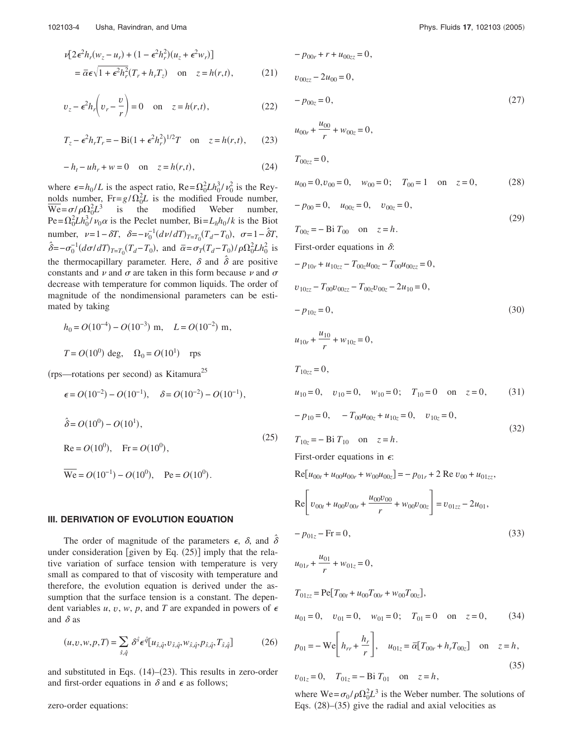$$
\nu[2\epsilon^2 h_r(w_z - u_r) + (1 - \epsilon^2 h_r^2)(u_z + \epsilon^2 w_r)]
$$
  
=  $\bar{\alpha}\epsilon\sqrt{1 + \epsilon^2 h_r^2}(T_r + h_r T_z)$  on  $z = h(r, t)$ , (21)

$$
v_z - \epsilon^2 h_r \left( v_r - \frac{v}{r} \right) = 0 \quad \text{on} \quad z = h(r, t), \tag{22}
$$

$$
T_z - \epsilon^2 h_r T_r = -\operatorname{Bi}(1 + \epsilon^2 h_r^2)^{1/2} T \quad \text{on} \quad z = h(r, t), \tag{23}
$$

$$
-h_t - uh_r + w = 0 \quad \text{on} \quad z = h(r,t), \tag{24}
$$

where  $\epsilon = h_0/L$  is the aspect ratio,  $\text{Re} = \Omega_0^2 L h_0^3 / v_0^2$  is the Reynolds number,  $Fr = g/\Omega_0^2 L$  is the modified Froude number,  $\overline{\text{We}} = \sigma / \rho \Omega_0^2 L^3$  is the modified Weber number,  $\text{Pe} = \Omega_0^2 L h_0^3 \dot{\text{P}} v_0 \alpha$  is the Peclet number,  $\text{Bi} = L_h h_0 / k$  is the Biot number,  $\nu=1-\delta T$ ,  $\delta=-\nu_0^{-1}(d\nu/dT)_{T=T_0}(T_d-T_0)$ ,  $\sigma=1-\hat{\delta}T$ ,  $\hat{\delta} = -\sigma_0^{-1} (d\sigma/dT)_{T=T_0} (T_d - T_0)$ , and  $\bar{\alpha} = \sigma_T (T_d - T_0) / \rho \Omega_0^2 L h_0^2$  is the thermocapillary parameter. Here,  $\delta$  and  $\hat{\delta}$  are positive constants and  $\nu$  and  $\sigma$  are taken in this form because  $\nu$  and  $\sigma$ decrease with temperature for common liquids. The order of magnitude of the nondimensional parameters can be estimated by taking

$$
h_0 = O(10^{-4}) - O(10^{-3})
$$
 m,  $L = O(10^{-2})$  m,  
 $T = O(10^{0})$  deg,  $\Omega_0 = O(10^{1})$  rps

 $\epsilon = O(10^{-2}) - O(10^{-1}), \quad \delta = O(10^{-2}) - O(10^{-1}),$ 

(rps—rotations per second) as Kitamura<sup>25</sup>

$$
\hat{\delta} = O(10^0) - O(10^1),
$$
  
\n
$$
Re = O(10^0), \quad Fr = O(10^0),
$$
  
\n
$$
\overline{We} = O(10^{-1}) - O(10^0), \quad Pe = O(10^0).
$$
\n(25)

#### **III. DERIVATION OF EVOLUTION EQUATION**

The order of magnitude of the parameters  $\epsilon$ ,  $\delta$ , and  $\hat{\delta}$ under consideration [given by Eq.  $(25)$ ] imply that the relative variation of surface tension with temperature is very small as compared to that of viscosity with temperature and therefore, the evolution equation is derived under the assumption that the surface tension is a constant. The dependent variables  $u, v, w, p$ , and T are expanded in powers of  $\epsilon$ and  $\delta$  as

$$
(u,v,w,p,T) = \sum_{\hat{s},\hat{q}} \delta^{\hat{s}} \epsilon^{\hat{q}} [u_{\hat{s},\hat{q}}, v_{\hat{s},\hat{q}}, w_{\hat{s},\hat{q}}, p_{\hat{s},\hat{q}}, T_{\hat{s},\hat{q}}]
$$
(26)

and substituted in Eqs.  $(14)$ – $(23)$ . This results in zero-order and first-order equations in  $\delta$  and  $\epsilon$  as follows;

zero-order equations:

$$
-p_{00r} + r + u_{00zz} = 0,
$$
  
\n
$$
v_{00zz} - 2u_{00} = 0,
$$
  
\n
$$
-p_{00z} = 0,
$$
\n(27)

$$
u_{00r} + \frac{v_{00}}{r} + w_{00z} = 0,
$$

$$
T_{00zz}=0,
$$

$$
u_{00} = 0, v_{00} = 0, \quad w_{00} = 0; \quad T_{00} = 1 \quad \text{on} \quad z = 0,
$$
 (28)

$$
-p_{00} = 0, \quad u_{00z} = 0, \quad v_{00z} = 0,
$$
  
\n
$$
T_{00z} = -\text{Bi } T_{00} \quad \text{on} \quad z = h.
$$
  
\nFirst-order equations in  $\delta$ :

 $-p_{10r} + u_{10zz} - T_{00z}u_{00z} - T_{00}u_{00zz} = 0$ ,  $v_{10zz} - T_{00}v_{00zz} - T_{00z}v_{00z} - 2u_{10} = 0$ ,

$$
-p_{10z} = 0,\t\t(30)
$$

$$
u_{10r}+\frac{u_{10}}{r}+w_{10z}=0\;\! ,
$$

 $T_{10zz} = 0$ ,

 $u_{10} = 0$ ,  $v_{10} = 0$ ,  $w_{10} = 0$ ;  $T_{10} = 0$  on  $z = 0$ ,  $(31)$ 

$$
-p_{10} = 0, \t -T_{00}u_{00z} + u_{10z} = 0, \t v_{10z} = 0,
$$
  
\n
$$
T_{10z} = -\text{Bi } T_{10} \text{ on } z = h.
$$
\n(32)

First-order equations in  $\epsilon$ :

$$
Re[u_{00t} + u_{00}u_{00r} + w_{00}u_{00z}] = -p_{01r} + 2 Re v_{00} + u_{01zz},
$$

$$
\text{Re}\left[v_{00t} + u_{00}v_{00r} + \frac{u_{00}v_{00}}{r} + w_{00}v_{00z}\right] = v_{01zz} - 2u_{01},
$$
\n
$$
-p_{01z} - \text{Fr} = 0,
$$
\n(33)

$$
u_{01r}+\frac{u_{01}}{r}+w_{01z}=0\;\! ,
$$

$$
T_{01zz} = \text{Pe}[T_{00t} + u_{00}T_{00r} + w_{00}T_{00z}],
$$
  

$$
u_{01} = 0, \quad v_{01} = 0, \quad w_{01} = 0; \quad T_{01} = 0 \quad \text{on} \quad z = 0,
$$
 (34)

$$
p_{01} = -\text{We}\left[h_{rr} + \frac{h_r}{r}\right], \quad u_{01z} = \overline{\alpha}[T_{00r} + h_r T_{00z}] \quad \text{on} \quad z = h,
$$
\n(35)

 $v_{01z} = 0$ ,  $T_{01z} = -Bi T_{01}$  on  $z = h$ ,

where  $\text{We} = \sigma_0 / \rho \Omega_0^2 L^3$  is the Weber number. The solutions of Eqs.  $(28)$ – $(35)$  give the radial and axial velocities as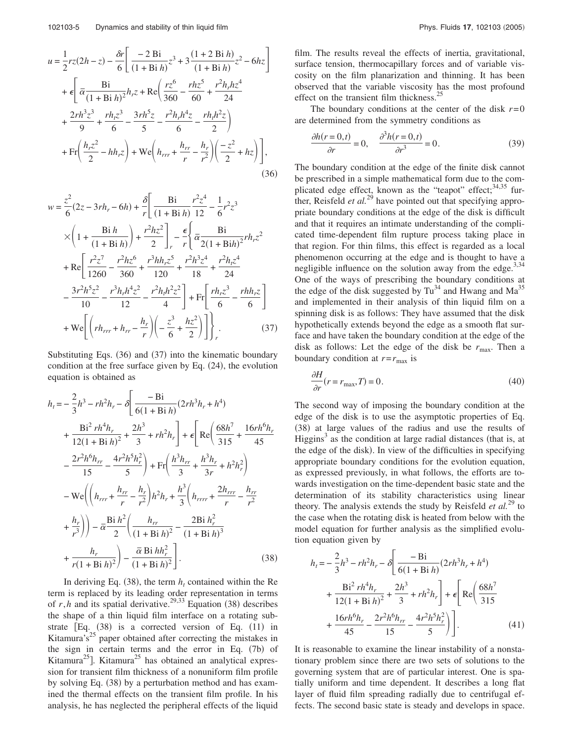$$
u = \frac{1}{2}rz(2h - z) - \frac{\delta r}{6} \left[ \frac{-2 \text{ Bi}}{(1 + \text{Bi } h)} z^3 + 3 \frac{(1 + 2 \text{ Bi } h)}{(1 + \text{Bi } h)} z^2 - 6hz \right]
$$
  
+  $\epsilon \left[ \frac{\text{Bi}}{\bar{\alpha} \frac{(1 + \text{Bi } h)}{(1 + \text{Bi } h)^2}} h_z z + \text{Re} \left( \frac{rz^6}{360} - \frac{rh_z^5}{60} + \frac{r^2 h_r h_z^4}{24} + \frac{2rh^3 z^3}{9} + \frac{rh_z z^3}{6} - \frac{3rh^5 z}{5} - \frac{r^2 h_r h^4 z}{6} - \frac{rh_r h^2 z}{2} \right)$   
+  $\text{Fr} \left( \frac{h_r z^2}{2} - hh_r z \right) + \text{We} \left( h_{rrr} + \frac{h_{rr}}{r} - \frac{h_r}{r^2} \right) \left( \frac{-z^2}{2} + h z \right) \bigg],$  (36)

$$
w = \frac{z^2}{6}(2z - 3rh_r - 6h) + \frac{\delta}{r} \left[ \frac{Bi}{(1 + Bi h)} \frac{r^2 z^4}{12} - \frac{1}{6}r^2 z^3 \right]
$$
  
\n
$$
\times \left( 1 + \frac{Bi h}{(1 + Bi h)} \right) + \frac{r^2 h z^2}{2} \bigg]_r - \frac{\epsilon}{r} \left\{ \frac{Bi}{\alpha} \frac{Bi}{2(1 + Bi h)^2}rh_r z^2 \right\}
$$
  
\n
$$
+ Re \left[ \frac{r^2 z^7}{1260} - \frac{r^2 h z^6}{360} + \frac{r^3 h h_r z^5}{120} + \frac{r^2 h^3 z^4}{18} + \frac{r^2 h_r z^4}{24} \right]
$$
  
\n
$$
- \frac{3r^2 h^5 z^2}{10} - \frac{r^3 h_r h^4 z^2}{12} - \frac{r^2 h_r h^2 z^2}{4} \bigg] + Fr \left[ \frac{rh_r z^3}{6} - \frac{rh h_r z}{6} \right]
$$
  
\n
$$
+ We \left[ \left( rh_{rrr} + h_{rr} - \frac{h_r}{r} \right) \left( -\frac{z^3}{6} + \frac{h z^2}{2} \right) \right] \bigg]_r
$$
 (37)

Substituting Eqs.  $(36)$  and  $(37)$  into the kinematic boundary condition at the free surface given by Eq.  $(24)$ , the evolution equation is obtained as

$$
h_{t} = -\frac{2}{3}h^{3} - rh^{2}h_{r} - \delta \left[ \frac{-Bi}{6(1 + Bi h)} (2rh^{3}h_{r} + h^{4}) \right] + \frac{Bi^{2} rh^{4}h_{r}}{12(1 + Bi h)^{2}} + \frac{2h^{3}}{3} + rh^{2}h_{r} \right] + \epsilon \left[ Re \left( \frac{68h^{7}}{315} + \frac{16rh^{6}h_{r}}{45} \right) \right] - \frac{2r^{2}h^{6}h_{rr}}{15} - \frac{4r^{2}h^{5}h_{r}^{2}}{5} + Fr \left( \frac{h^{3}h_{rr}}{3} + \frac{h^{3}h_{r}}{3r} + h^{2}h_{r}^{2} \right) - We \left( \left( h_{rrr} + \frac{h_{rr}}{r} - \frac{h_{r}}{r^{2}} \right)h^{2}h_{r} + \frac{h^{3}}{3} \left( h_{rrrr} + \frac{2h_{rrr}}{r} - \frac{h_{rr}}{r^{2}} \right) \right) + \frac{h_{r}}{r^{3}} \right) - \overline{\alpha} \frac{Bi h^{2}}{2} \left( \frac{h_{rr}}{(1 + Bi h)^{2}} - \frac{2Bi h_{r}^{2}}{(1 + Bi h)^{3}} \right) + \frac{h_{r}}{r(1 + Bi h)^{2}} \right) - \frac{\overline{\alpha} Bi h h_{r}^{2}}{(1 + Bi h)^{2}} \left[ . \tag{38}
$$

In deriving Eq. (38), the term  $h_t$  contained within the Re term is replaced by its leading order representation in terms of  $r$ , h and its spatial derivative.<sup>29,33</sup> Equation (38) describes the shape of a thin liquid film interface on a rotating substrate [Eq. (38) is a corrected version of Eq. (11) in Kitamura's<sup>25</sup> paper obtained after correcting the mistakes in the sign in certain terms and the error in Eq. (7b) of Kitamura<sup>25</sup>]. Kitamura<sup>25</sup> has obtained an analytical expression for transient film thickness of a nonuniform film profile by solving Eq. (38) by a perturbation method and has examined the thermal effects on the transient film profile. In his analysis, he has neglected the peripheral effects of the liquid film. The results reveal the effects of inertia, gravitational, surface tension, thermocapillary forces and of variable viscosity on the film planarization and thinning. It has been observed that the variable viscosity has the most profound effect on the transient film thickness.<sup>25</sup>

The boundary conditions at the center of the disk  $r=0$ are determined from the symmetry conditions as

$$
\frac{\partial h(r=0,t)}{\partial r} = 0, \quad \frac{\partial^3 h(r=0,t)}{\partial r^3} = 0.
$$
 (39)

The boundary condition at the edge of the finite disk cannot be prescribed in a simple mathematical form due to the complicated edge effect, known as the "teapot" effect;<sup>34,35</sup> fur-<br>ther, Reisfeld *et al.*<sup>29</sup> have pointed out that specifying appropriate boundary conditions at the edge of the disk is difficult and that it requires an intimate understanding of the complicated time-dependent film rupture process taking place in that region. For thin films, this effect is regarded as a local phenomenon occurring at the edge and is thought to have a negligible influence on the solution away from the edge.<sup>3,34</sup> One of the ways of prescribing the boundary conditions at the edge of the disk suggested by  $Tu^{34}$  and Hwang and Ma<sup>35</sup> and implemented in their analysis of thin liquid film on a spinning disk is as follows: They have assumed that the disk hypothetically extends beyond the edge as a smooth flat surface and have taken the boundary condition at the edge of the disk as follows: Let the edge of the disk be  $r_{\text{max}}$ . Then a boundary condition at  $r = r_{\text{max}}$  is

$$
\frac{\partial H}{\partial r}(r = r_{\text{max}}, T) = 0.
$$
\n(40)

The second way of imposing the boundary condition at the edge of the disk is to use the asymptotic properties of Eq. (38) at large values of the radius and use the results of Higgins<sup>3</sup> as the condition at large radial distances (that is, at the edge of the disk). In view of the difficulties in specifying appropriate boundary conditions for the evolution equation, as expressed previously, in what follows, the efforts are towards investigation on the time-dependent basic state and the determination of its stability characteristics using linear theory. The analysis extends the study by Reisfeld *et al.*<sup>29</sup> to the case when the rotating disk is heated from below with the model equation for further analysis as the simplified evolution equation given by

$$
h_{t} = -\frac{2}{3}h^{3} - rh^{2}h_{r} - \delta \left[ \frac{-Bi}{6(1 + Bi h)} (2rh^{3}h_{r} + h^{4}) + \frac{Bi^{2} rh^{4}h_{r}}{12(1 + Bi h)^{2}} + \frac{2h^{3}}{3} + rh^{2}h_{r} \right] + \epsilon \left[ Re \left( \frac{68h^{7}}{315} + \frac{16rh^{6}h_{r}}{45} - \frac{2r^{2}h^{6}h_{rr}}{15} - \frac{4r^{2}h^{5}h_{r}^{2}}{5} \right) \right].
$$
 (41)

It is reasonable to examine the linear instability of a nonstationary problem since there are two sets of solutions to the governing system that are of particular interest. One is spatially uniform and time dependent. It describes a long flat layer of fluid film spreading radially due to centrifugal effects. The second basic state is steady and develops in space.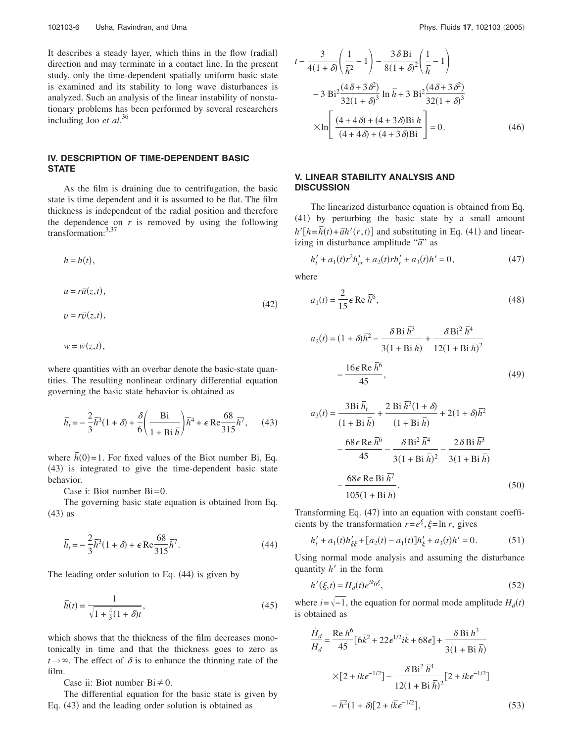It describes a steady layer, which thins in the flow (radial) direction and may terminate in a contact line. In the present study, only the time-dependent spatially uniform basic state is examined and its stability to long wave disturbances is analyzed. Such an analysis of the linear instability of nonstationary problems has been performed by several researchers including Joo *et al.*<sup>36</sup>

### **IV. DESCRIPTION OF TIME-DEPENDENT BASIC STATE**

As the film is draining due to centrifugation, the basic state is time dependent and it is assumed to be flat. The film thickness is independent of the radial position and therefore the dependence on  $r$  is removed by using the following transformation: $3,37$ 

$$
h = \overline{h}(t),
$$
  
\n
$$
u = r\overline{u}(z,t),
$$
  
\n
$$
v = r\overline{v}(z,t),
$$
\n(42)

 $w = \overline{w}(z,t),$ 

where quantities with an overbar denote the basic-state quantities. The resulting nonlinear ordinary differential equation governing the basic state behavior is obtained as

$$
\bar{h}_t = -\frac{2}{3}\bar{h}^3(1+\delta) + \frac{\delta}{6}\left(\frac{Bi}{1+Bi\,\bar{h}}\right)\bar{h}^4 + \epsilon \text{Re}\frac{68}{315}\bar{h}^7,\qquad(43)
$$

where  $\bar{h}(0)$  = 1. For fixed values of the Biot number Bi, Eq. (43) is integrated to give the time-dependent basic state behavior.

Case i: Biot number Bi=0.

The governing basic state equation is obtained from Eq.  $(43)$  as

$$
\bar{h}_t = -\frac{2}{3}\bar{h}^3(1+\delta) + \epsilon \operatorname{Re} \frac{68}{315} \bar{h}^7. \tag{44}
$$

The leading order solution to Eq.  $(44)$  is given by

$$
\bar{h}(t) = \frac{1}{\sqrt{1 + \frac{4}{3}(1 + \delta)t}},
$$
\n(45)

which shows that the thickness of the film decreases monotonically in time and that the thickness goes to zero as  $t \rightarrow \infty$ . The effect of  $\delta$  is to enhance the thinning rate of the film.

Case ii: Biot number  $Bi \neq 0$ .

The differential equation for the basic state is given by Eq. (43) and the leading order solution is obtained as

$$
t - \frac{3}{4(1+\delta)} \left( \frac{1}{\bar{h}^2} - 1 \right) - \frac{3\delta \text{Bi}}{8(1+\delta)^2} \left( \frac{1}{\bar{h}} - 1 \right)
$$
  
- 3 Bi<sup>2</sup>  $\frac{(4\delta + 3\delta^2)}{32(1+\delta)^3}$  ln  $\bar{h}$  + 3 Bi<sup>2</sup>  $\frac{(4\delta + 3\delta^2)}{32(1+\delta)^3}$   
 $\times \ln \left[ \frac{(4+4\delta) + (4+3\delta) \text{Bi } \bar{h}}{(4+4\delta) + (4+3\delta) \text{Bi}} \right] = 0.$  (46)

### **V. LINEAR STABILITY ANALYSIS AND DISCUSSION**

The linearized disturbance equation is obtained from Eq. (41) by perturbing the basic state by a small amount  $h'[h=\overline{h}(t)+\overline{a}h'(r,t)]$  and substituting in Eq. (41) and linearizing in disturbance amplitude " $\vec{a}$ " as

$$
h'_{t} + a_{1}(t)r^{2}h'_{rr} + a_{2}(t)rh'_{r} + a_{3}(t)h' = 0,
$$
\n(47)

where

$$
a_1(t) = \frac{2}{15} \epsilon \operatorname{Re} \overline{h}^6,\tag{48}
$$

$$
a_2(t) = (1 + \delta)\overline{h}^2 - \frac{\delta \text{Bi } \overline{h}^3}{3(1 + \text{Bi } \overline{h})} + \frac{\delta \text{Bi}^2 \overline{h}^4}{12(1 + \text{Bi } \overline{h})^2} - \frac{16\epsilon \text{Re } \overline{h}^6}{45},
$$
 (49)

$$
a_3(t) = \frac{3Bi \bar{h}_t}{(1 + Bi \bar{h})} + \frac{2 Bi \bar{h}^3 (1 + \delta)}{(1 + Bi \bar{h})} + 2(1 + \delta)\bar{h}^2
$$

$$
- \frac{68 \epsilon \text{ Re } \bar{h}^6}{45} - \frac{\delta Bi^2 \bar{h}^4}{3(1 + Bi \bar{h})^2} - \frac{2 \delta Bi \bar{h}^3}{3(1 + Bi \bar{h})}
$$

$$
- \frac{68 \epsilon \text{ Re } Bi \bar{h}^7}{105(1 + Bi \bar{h})}.
$$
(50)

Transforming Eq. (47) into an equation with constant coefficients by the transformation  $r = e^{\xi}, \xi = \ln r$ , gives

$$
h'_{t} + a_{1}(t)h'_{\xi\xi} + [a_{2}(t) - a_{1}(t)]h'_{\xi} + a_{3}(t)h' = 0.
$$
 (51)

Using normal mode analysis and assuming the disturbance quantity  $h'$  in the form

$$
h'(\xi, t) = H_d(t)e^{ik_0\xi},\tag{52}
$$

where  $i = \sqrt{-1}$ , the equation for normal mode amplitude  $H_d(t)$ is obtained as

$$
\frac{\dot{H}_d}{H_d} = \frac{\text{Re}\,\bar{h}^6}{45} \left[ 6\bar{k}^2 + 22\epsilon^{1/2} i\bar{k} + 68\epsilon \right] + \frac{\delta \,\text{Bi}\,\bar{h}^3}{3(1 + \text{Bi}\,\bar{h})}
$$
\n
$$
\times \left[ 2 + i\bar{k}\epsilon^{-1/2} \right] - \frac{\delta \,\text{Bi}^2\,\bar{h}^4}{12(1 + \text{Bi}\,\bar{h})^2} \left[ 2 + i\bar{k}\epsilon^{-1/2} \right]
$$
\n
$$
- \bar{h}^2 (1 + \delta) \left[ 2 + i\bar{k}\epsilon^{-1/2} \right],\tag{53}
$$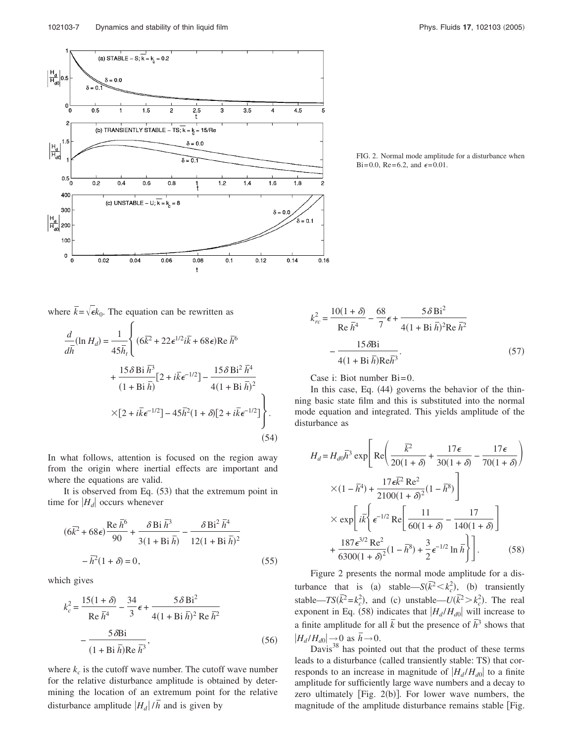

FIG. 2. Normal mode amplitude for a disturbance when Bi=0.0, Re=6.2, and  $\epsilon$ =0.01.



$$
\frac{d}{d\overline{h}}(\ln H_d) = \frac{1}{45\overline{h}_t} \left\{ (6\overline{k}^2 + 22\epsilon^{1/2}i\overline{k} + 68\epsilon) \text{Re }\overline{h}^6 \right. \\
\left. + \frac{15\delta \text{Bi }\overline{h}^3}{(1 + \text{Bi }\overline{h})} [2 + i\overline{k}\epsilon^{-1/2}] - \frac{15\delta \text{Bi}^2 \overline{h}^4}{4(1 + \text{Bi }\overline{h})^2} \right. \\
\left. \times [2 + i\overline{k}\epsilon^{-1/2}] - 45\overline{h}^2 (1 + \delta) [2 + i\overline{k}\epsilon^{-1/2}] \right\}.
$$
\n(54)

In what follows, attention is focused on the region away from the origin where inertial effects are important and where the equations are valid.

It is observed from Eq. (53) that the extremum point in time for  $|H_d|$  occurs whenever

$$
(6\overline{k}^2 + 68\epsilon)\frac{\text{Re }\bar{h}^6}{90} + \frac{\delta \text{Bi }\bar{h}^3}{3(1 + \text{Bi }\bar{h})} - \frac{\delta \text{Bi}^2 \bar{h}^4}{12(1 + \text{Bi }\bar{h})^2} - \bar{h}^2(1 + \delta) = 0,
$$
\n(55)

which gives

$$
k_c^2 = \frac{15(1+\delta)}{\text{Re}\,\bar{h}^4} - \frac{34}{3}\,\epsilon + \frac{5\,\delta\,\text{Bi}^2}{4(1+\text{Bi}\,\bar{h})^2\,\text{Re}\,\bar{h}^2} - \frac{5\,\delta\text{Bi}}{(1+\text{Bi}\,\bar{h})\text{Re}\,\bar{h}^3},\tag{56}
$$

where  $k_c$  is the cutoff wave number. The cutoff wave number for the relative disturbance amplitude is obtained by determining the location of an extremum point for the relative disturbance amplitude  $|H_d|/\bar{h}$  and is given by

$$
k_{rc}^2 = \frac{10(1+\delta)}{\text{Re}\,\bar{h}^4} - \frac{68}{7}\epsilon + \frac{5\,\delta\,\text{Bi}^2}{4(1+\text{Bi}\,\bar{h})^2\text{Re}\,\bar{h}^2}
$$

$$
-\frac{15\,\delta\text{Bi}}{4(1+\text{Bi}\,\bar{h})\text{Re}\bar{h}^3}.\tag{57}
$$

Case i: Biot number Bi=0.

In this case, Eq. (44) governs the behavior of the thinning basic state film and this is substituted into the normal mode equation and integrated. This yields amplitude of the disturbance as

$$
H_d = H_{d0}\overline{h}^3 \exp\left[\text{Re}\left(\frac{\overline{k}^2}{20(1+\delta)} + \frac{17\epsilon}{30(1+\delta)} - \frac{17\epsilon}{70(1+\delta)}\right)\right]
$$

$$
\times (1 - \overline{h}^4) + \frac{17\epsilon\overline{k}^2 \text{ Re}^2}{2100(1+\delta)^2} (1 - \overline{h}^8)\right]
$$

$$
\times \exp\left[i\overline{k}\left\{\epsilon^{-1/2} \text{ Re}\left[\frac{11}{60(1+\delta)} - \frac{17}{140(1+\delta)}\right]\right]
$$

$$
+ \frac{187\epsilon^{3/2} \text{ Re}^2}{6300(1+\delta)^2} (1 - \overline{h}^8) + \frac{3}{2}\epsilon^{-1/2} \ln \overline{h}\right]\right].
$$
(58)

Figure 2 presents the normal mode amplitude for a disturbance that is (a) stable— $S(\vec{k}^2 < k_c^2)$ , (b) transiently stable—*TS*( $\bar{k}^2 = k_c^2$ ), and (c) unstable— $U(\bar{k}^2 > k_c^2)$ . The real exponent in Eq. (58) indicates that  $|H_d/H_{d0}|$  will increase to a finite amplitude for all  $\bar{k}$  but the presence of  $\bar{h}^3$  shows that  $|H_d/H_{d0}| \rightarrow 0$  as  $\bar{h} \rightarrow 0$ .

Davis $38$  has pointed out that the product of these terms leads to a disturbance (called transiently stable: TS) that corresponds to an increase in magnitude of  $|H_d/H_{d0}|$  to a finite amplitude for sufficiently large wave numbers and a decay to zero ultimately  $[Fig. 2(b)]$ . For lower wave numbers, the magnitude of the amplitude disturbance remains stable Fig.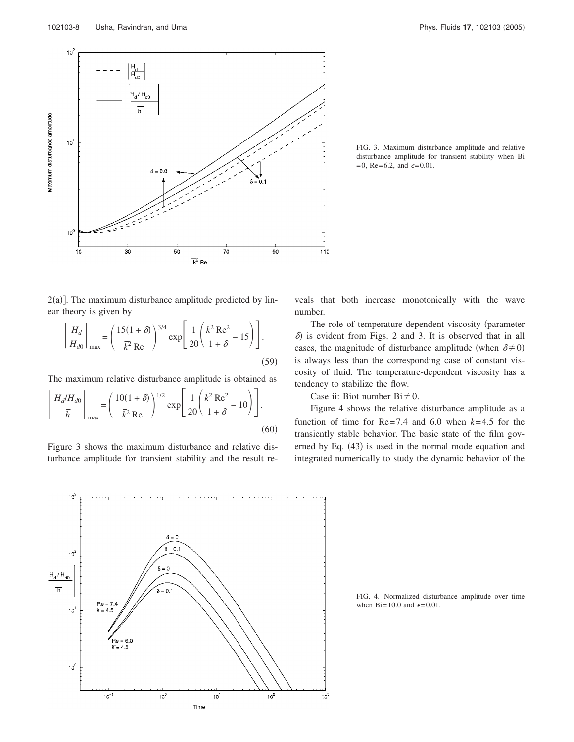

FIG. 3. Maximum disturbance amplitude and relative disturbance amplitude for transient stability when Bi  $=0$ , Re=6.2, and  $\epsilon = 0.01$ .

 $2(a)$ ]. The maximum disturbance amplitude predicted by linear theory is given by

$$
\left| \frac{H_d}{H_{d0}} \right|_{\text{max}} = \left( \frac{15(1+\delta)}{\overline{k}^2 \text{ Re}} \right)^{3/4} \exp\left[ \frac{1}{20} \left( \frac{\overline{k}^2 \text{ Re}^2}{1+\delta} - 15 \right) \right].
$$
\n(59)

The maximum relative disturbance amplitude is obtained as

$$
\left| \frac{H_d/H_{d0}}{\bar{h}} \right|_{\text{max}} = \left( \frac{10(1+\delta)}{\bar{k}^2 \text{ Re}} \right)^{1/2} \exp\left[ \frac{1}{20} \left( \frac{\bar{k}^2 \text{ Re}^2}{1+\delta} - 10 \right) \right].
$$
\n(60)

Figure 3 shows the maximum disturbance and relative disturbance amplitude for transient stability and the result reveals that both increase monotonically with the wave number.

The role of temperature-dependent viscosity (parameter  $\delta$ ) is evident from Figs. 2 and 3. It is observed that in all cases, the magnitude of disturbance amplitude (when  $\delta \neq 0$ ) is always less than the corresponding case of constant viscosity of fluid. The temperature-dependent viscosity has a tendency to stabilize the flow.

Case ii: Biot number  $Bi \neq 0$ .

Figure 4 shows the relative disturbance amplitude as a function of time for Re=7.4 and 6.0 when  $\overline{k}$ =4.5 for the transiently stable behavior. The basic state of the film governed by Eq. (43) is used in the normal mode equation and integrated numerically to study the dynamic behavior of the



FIG. 4. Normalized disturbance amplitude over time when Bi=10.0 and  $\epsilon$ =0.01.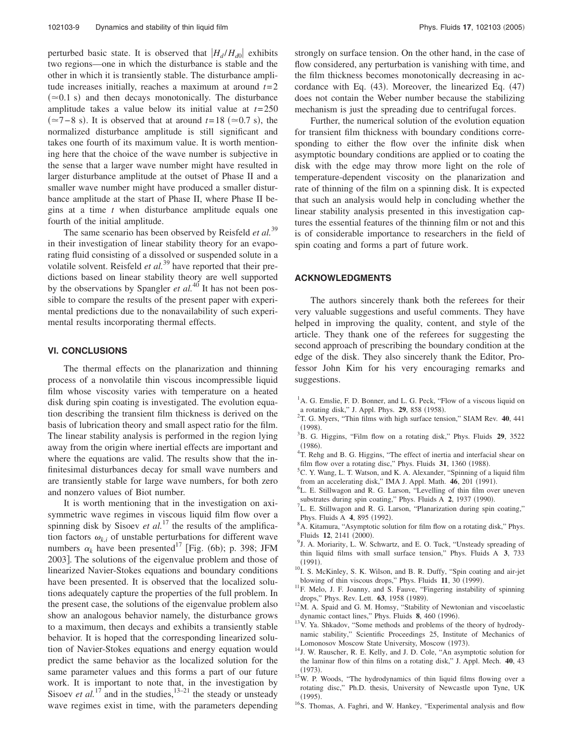perturbed basic state. It is observed that  $|H_d/H_{d0}|$  exhibits two regions—one in which the disturbance is stable and the other in which it is transiently stable. The disturbance amplitude increases initially, reaches a maximum at around  $t=2$  $(\approx 0.1 \text{ s})$  and then decays monotonically. The disturbance amplitude takes a value below its initial value at *t*=250  $(\simeq 7-8$  s). It is observed that at around *t*=18 ( $\simeq 0.7$  s), the normalized disturbance amplitude is still significant and takes one fourth of its maximum value. It is worth mentioning here that the choice of the wave number is subjective in the sense that a larger wave number might have resulted in larger disturbance amplitude at the outset of Phase II and a smaller wave number might have produced a smaller disturbance amplitude at the start of Phase II, where Phase II begins at a time *t* when disturbance amplitude equals one fourth of the initial amplitude.

The same scenario has been observed by Reisfeld *et al.*<sup>39</sup> in their investigation of linear stability theory for an evaporating fluid consisting of a dissolved or suspended solute in a volatile solvent. Reisfeld *et al.*<sup>39</sup> have reported that their predictions based on linear stability theory are well supported by the observations by Spangler *et al.*<sup>40</sup> It has not been possible to compare the results of the present paper with experimental predictions due to the nonavailability of such experimental results incorporating thermal effects.

#### **VI. CONCLUSIONS**

The thermal effects on the planarization and thinning process of a nonvolatile thin viscous incompressible liquid film whose viscosity varies with temperature on a heated disk during spin coating is investigated. The evolution equation describing the transient film thickness is derived on the basis of lubrication theory and small aspect ratio for the film. The linear stability analysis is performed in the region lying away from the origin where inertial effects are important and where the equations are valid. The results show that the infinitesimal disturbances decay for small wave numbers and are transiently stable for large wave numbers, for both zero and nonzero values of Biot number.

It is worth mentioning that in the investigation on axisymmetric wave regimes in viscous liquid film flow over a spinning disk by Sisoev *et al.*<sup>17</sup> the results of the amplification factors  $\omega_{k,i}$  of unstable perturbations for different wave numbers  $\alpha_k$  have been presented<sup>17</sup> [Fig. (6b); p. 398; JFM 2003]. The solutions of the eigenvalue problem and those of linearized Navier-Stokes equations and boundary conditions have been presented. It is observed that the localized solutions adequately capture the properties of the full problem. In the present case, the solutions of the eigenvalue problem also show an analogous behavior namely, the disturbance grows to a maximum, then decays and exhibits a transiently stable behavior. It is hoped that the corresponding linearized solution of Navier-Stokes equations and energy equation would predict the same behavior as the localized solution for the same parameter values and this forms a part of our future work. It is important to note that, in the investigation by Sisoev *et al.*<sup>17</sup> and in the studies,<sup>13–21</sup> the steady or unsteady wave regimes exist in time, with the parameters depending strongly on surface tension. On the other hand, in the case of flow considered, any perturbation is vanishing with time, and the film thickness becomes monotonically decreasing in accordance with Eq.  $(43)$ . Moreover, the linearized Eq.  $(47)$ does not contain the Weber number because the stabilizing mechanism is just the spreading due to centrifugal forces.

Further, the numerical solution of the evolution equation for transient film thickness with boundary conditions corresponding to either the flow over the infinite disk when asymptotic boundary conditions are applied or to coating the disk with the edge may throw more light on the role of temperature-dependent viscosity on the planarization and rate of thinning of the film on a spinning disk. It is expected that such an analysis would help in concluding whether the linear stability analysis presented in this investigation captures the essential features of the thinning film or not and this is of considerable importance to researchers in the field of spin coating and forms a part of future work.

## **ACKNOWLEDGMENTS**

The authors sincerely thank both the referees for their very valuable suggestions and useful comments. They have helped in improving the quality, content, and style of the article. They thank one of the referees for suggesting the second approach of prescribing the boundary condition at the edge of the disk. They also sincerely thank the Editor, Professor John Kim for his very encouraging remarks and suggestions.

- $<sup>1</sup>A$ . G. Emslie, F. D. Bonner, and L. G. Peck, "Flow of a viscous liquid on</sup> a rotating disk," J. Appl. Phys. 29, 858 (1958).
- 2 T. G. Myers, "Thin films with high surface tension," SIAM Rev. **40**, 441  $(1998).$
- <sup>3</sup>B. G. Higgins, "Film flow on a rotating disk," Phys. Fluids **29**, 3522  $(1986).$
- <sup>4</sup>T. Rehg and B. G. Higgins, "The effect of inertia and interfacial shear on film flow over a rotating disc," Phys. Fluids 31, 1360 (1988).
- ${}^5C$ . Y. Wang, L. T. Watson, and K. A. Alexander, "Spinning of a liquid film from an accelerating disk," IMA J. Appl. Math. 46, 201 (1991).
- 6 L. E. Stillwagon and R. G. Larson, "Levelling of thin film over uneven substrates during spin coating," Phys. Fluids A 2, 1937 (1990).
- ${}^{7}$ L. E. Stillwagon and R. G. Larson, "Planarization during spin coating," Phys. Fluids A 4, 895 (1992).
- <sup>8</sup>A. Kitamura, "Asymptotic solution for film flow on a rotating disk," Phys. Fluids **12**, 2141 (2000).
- <sup>9</sup>J. A. Moriarity, L. W. Schwartz, and E. O. Tuck, "Unsteady spreading of thin liquid films with small surface tension," Phys. Fluids A **3**, 733  $(1991).$
- <sup>10</sup>I. S. McKinley, S. K. Wilson, and B. R. Duffy, "Spin coating and air-jet blowing of thin viscous drops," Phys. Fluids 11, 30 (1999).
- <sup>11</sup>F. Melo, J. F. Joanny, and S. Fauve, "Fingering instability of spinning drops," Phys. Rev. Lett. **63**, 1958 (1989).
- <sup>12</sup>M. A. Spaid and G. M. Homsy, "Stability of Newtonian and viscoelastic dynamic contact lines," Phys. Fluids 8, 460 (1996).
- <sup>13</sup>V. Ya. Shkadov, "Some methods and problems of the theory of hydrodynamic stability," Scientific Proceedings 25, Institute of Mechanics of Lomonosov Moscow State University, Moscow (1973).
- <sup>14</sup>J. W. Rauscher, R. E. Kelly, and J. D. Cole, "An asymptotic solution for the laminar flow of thin films on a rotating disk," J. Appl. Mech. **40**, 43  $(1973).$
- <sup>15</sup>W. P. Woods, "The hydrodynamics of thin liquid films flowing over a rotating disc," Ph.D. thesis, University of Newcastle upon Tyne, UK  $(1995).$
- <sup>16</sup>S. Thomas, A. Faghri, and W. Hankey, "Experimental analysis and flow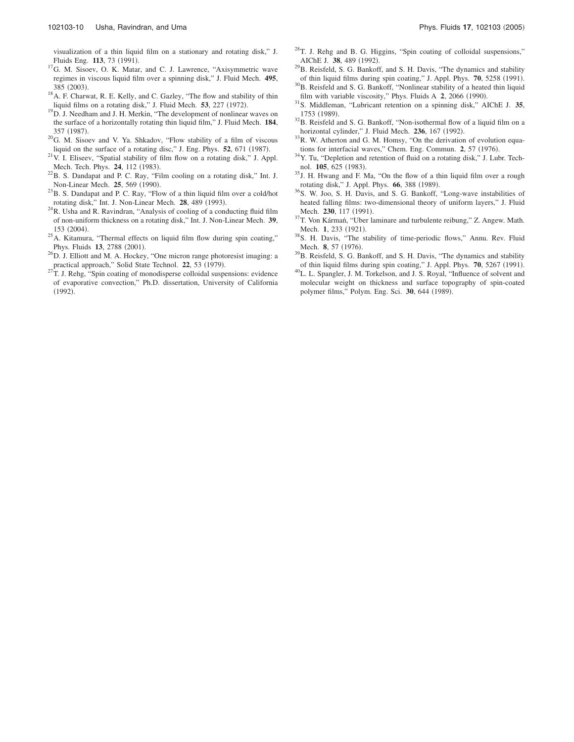visualization of a thin liquid film on a stationary and rotating disk," J. Fluids Eng. 113, 73 (1991).

- <sup>17</sup>G. M. Sisoev, O. K. Matar, and C. J. Lawrence, "Axisymmetric wave regimes in viscous liquid film over a spinning disk," J. Fluid Mech. **495**, 385 (2003).
- <sup>18</sup>A. F. Charwat, R. E. Kelly, and C. Gazley, "The flow and stability of thin liquid films on a rotating disk," J. Fluid Mech. 53, 227 (1972).
- <sup>19</sup>D. J. Needham and J. H. Merkin, "The development of nonlinear waves on the surface of a horizontally rotating thin liquid film," J. Fluid Mech. **184**, 357 (1987).
- <sup>20</sup>G. M. Sisoev and V. Ya. Shkadov, "Flow stability of a film of viscous liquid on the surface of a rotating disc," J. Eng. Phys. 52, 671 (1987).
- $^{21}V$ . I. Eliseev, "Spatial stability of film flow on a rotating disk," J. Appl. Mech. Tech. Phys. **24**, 112 (1983).
- $^{22}$ B. S. Dandapat and P. C. Ray, "Film cooling on a rotating disk," Int. J. Non-Linear Mech. **25**, 569 (1990).
- $^{23}$ B. S. Dandapat and P. C. Ray, "Flow of a thin liquid film over a cold/hot rotating disk," Int. J. Non-Linear Mech. 28, 489 (1993).
- $24R$ . Usha and R. Ravindran, "Analysis of cooling of a conducting fluid film of non-uniform thickness on a rotating disk," Int. J. Non-Linear Mech. **39**, 153 (2004).
- $^{25}$ A. Kitamura, "Thermal effects on liquid film flow during spin coating," Phys. Fluids 13, 2788 (2001).
- $^{26}$ D. J. Elliott and M. A. Hockey, "One micron range photoresist imaging: a practical approach," Solid State Technol. 22, 53 (1979).
- ${}^{27}$ T. J. Rehg, "Spin coating of monodisperse colloidal suspensions: evidence of evaporative convection," Ph.D. dissertation, University of California (1992).
- <sup>28</sup>T. J. Rehg and B. G. Higgins, "Spin coating of colloidal suspensions,"
- AIChE J. 38, 489 (1992).  $^{29}$ B. Reisfeld, S. G. Bankoff, and S. H. Davis, "The dynamics and stability
- of thin liquid films during spin coating," J. Appl. Phys. 70, 5258 (1991). <sup>30</sup>B. Reisfeld and S. G. Bankoff, "Nonlinear stability of a heated thin liquid
- film with variable viscosity," Phys. Fluids A 2, 2066 (1990). <sup>31</sup>S. Middleman, "Lubricant retention on a spinning disk," AIChE J. **35**,
- 1753 (1989).
- <sup>32</sup>B. Reisfeld and S. G. Bankoff, "Non-isothermal flow of a liquid film on a horizontal cylinder," J. Fluid Mech. **236**, 167 (1992).
- $33R$ . W. Atherton and G. M. Homsy, "On the derivation of evolution equations for interfacial waves," Chem. Eng. Commun. 2, 57 (1976).
- <sup>34</sup>Y. Tu, "Depletion and retention of fluid on a rotating disk," J. Lubr. Technol. **105**, 625 (1983).
- <sup>35</sup>J. H. Hwang and F. Ma, "On the flow of a thin liquid film over a rough rotating disk," J. Appl. Phys. **66**, 388 (1989).
- <sup>36</sup>S. W. Joo, S. H. Davis, and S. G. Bankoff, "Long-wave instabilities of heated falling films: two-dimensional theory of uniform layers," J. Fluid Mech. 230, 117 (1991).
- <sup>37</sup>T. Von Kármań, "Uber laminare and turbulente reibung," Z. Angew. Math. Mech. **1**, 233 (1921).
- <sup>38</sup>S. H. Davis, "The stability of time-periodic flows," Annu. Rev. Fluid Mech. **8**, 57 (1976).
- <sup>39</sup>B. Reisfeld, S. G. Bankoff, and S. H. Davis, "The dynamics and stability of thin liquid films during spin coating," J. Appl. Phys. 70, 5267 (1991).
- <sup>40</sup>L. L. Spangler, J. M. Torkelson, and J. S. Royal, "Influence of solvent and molecular weight on thickness and surface topography of spin-coated polymer films," Polym. Eng. Sci. **30**, 644 (1989).